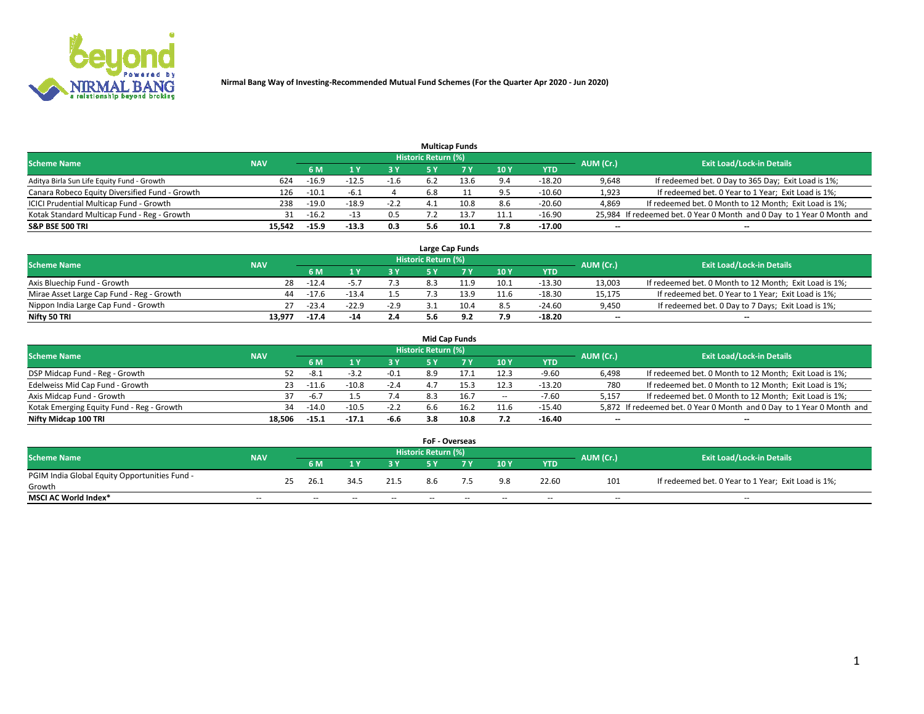

|                                                |            |         |              |        |                     | <b>Multicap Funds</b> |      |          |                          |                                                                        |
|------------------------------------------------|------------|---------|--------------|--------|---------------------|-----------------------|------|----------|--------------------------|------------------------------------------------------------------------|
| <b>Scheme Name</b>                             | <b>NAV</b> |         |              |        | Historic Return (%) |                       |      |          | AUM (Cr.)                | <b>Exit Load/Lock-in Details</b>                                       |
|                                                |            | 6 M     |              |        |                     |                       | 10Y  | YTD      |                          |                                                                        |
| Aditya Birla Sun Life Equity Fund - Growth     | 624        | $-16.9$ |              | -1.6   |                     |                       | 9.4  | $-18.20$ | 9,648                    | If redeemed bet. 0 Day to 365 Day; Exit Load is 1%;                    |
| Canara Robeco Equity Diversified Fund - Growth | 126        | $-10.1$ | $-6.1$       |        | 6.8                 |                       | 9.5  | $-10.60$ | 1,923                    | If redeemed bet. 0 Year to 1 Year; Exit Load is 1%;                    |
| ICICI Prudential Multicap Fund - Growth        | 238        | $-19.0$ | $-18.9$      | $-2.2$ |                     | 10.8                  | 8.6  | $-20.60$ | 4,869                    | If redeemed bet. 0 Month to 12 Month; Exit Load is 1%;                 |
| Kotak Standard Multicap Fund - Reg - Growth    | 31         | $-16.2$ | $-1^{\circ}$ | 0.5    |                     | L3.                   | 11.1 | $-16.90$ |                          | 25,984 If redeemed bet. 0 Year 0 Month and 0 Day to 1 Year 0 Month and |
| <b>S&amp;P BSE 500 TRI</b>                     | 15.542     | $-15.9$ | $-13.3$      | 0.3    | 5.6                 | 10.1                  | 7.8  | $-17.00$ | $\overline{\phantom{a}}$ | $\overline{\phantom{a}}$                                               |

|                                           |            |         |         |        |                     | Large Cap Funds |      |          |                          |                                                        |
|-------------------------------------------|------------|---------|---------|--------|---------------------|-----------------|------|----------|--------------------------|--------------------------------------------------------|
| <b>Scheme Name</b>                        | <b>NAV</b> |         |         |        | Historic Return (%) |                 |      |          | AUM (Cr.)                | <b>Exit Load/Lock-in Details</b>                       |
|                                           |            | 6 M     |         | 3 Y    |                     |                 | 10Y  | YTD      |                          |                                                        |
| Axis Bluechip Fund - Growth               | 28         | $-12.4$ |         | 7.3    |                     |                 | 10.1 | $-13.30$ | 13,003                   | If redeemed bet. 0 Month to 12 Month; Exit Load is 1%; |
| Mirae Asset Large Cap Fund - Reg - Growth | 44         | $-17.6$ | $-13.4$ |        |                     | 13.9            | 11.6 | $-18.30$ | 15,175                   | If redeemed bet. 0 Year to 1 Year; Exit Load is 1%;    |
| Nippon India Large Cap Fund - Growth      | 27         | $-23.4$ | $-22.9$ | $-2.9$ |                     | 10.4            | 8.5  | $-24.60$ | 9,450                    | If redeemed bet. 0 Day to 7 Days; Exit Load is 1%;     |
| Nifty 50 TRI                              | 13.977     | $-17.4$ | $-14$   | 2.4    |                     |                 | 7.9  | $-18.20$ | $\overline{\phantom{a}}$ | $\overline{\phantom{a}}$                               |

|                                           |            |         |         |        |                     | <b>Mid Cap Funds</b> |        |          |           |                                                                       |
|-------------------------------------------|------------|---------|---------|--------|---------------------|----------------------|--------|----------|-----------|-----------------------------------------------------------------------|
| <b>Scheme Name</b>                        | <b>NAV</b> |         |         |        | Historic Return (%) |                      |        |          | AUM (Cr.) | <b>Exit Load/Lock-in Details</b>                                      |
|                                           |            | 6 M     |         | 3 Y    |                     |                      | 10Y    | YTD      |           |                                                                       |
| DSP Midcap Fund - Reg - Growth            | 52         | -8.1    | $-3.7$  | $-0.1$ | 8.9                 |                      | 12.3   | $-9.60$  | 6,498     | If redeemed bet. 0 Month to 12 Month; Exit Load is 1%;                |
| Edelweiss Mid Cap Fund - Growth           | 23.        | $-11.6$ | $-10.8$ | $-2.4$ | $\mathbf{A}$        |                      | 12.3   | $-13.20$ | 780       | If redeemed bet. 0 Month to 12 Month; Exit Load is 1%;                |
| Axis Midcap Fund - Growth                 | 37         | $-6.7$  |         | 7.4    |                     |                      | $\sim$ | $-7.60$  | 5.157     | If redeemed bet. 0 Month to 12 Month; Exit Load is 1%;                |
| Kotak Emerging Equity Fund - Reg - Growth | 34         | $-14.0$ | $-10.5$ | $-2.2$ | 6.6                 |                      | 11.6   | $-15.40$ |           | 5,872 If redeemed bet. 0 Year 0 Month and 0 Day to 1 Year 0 Month and |
| Nifty Midcap 100 TRI                      | 18.506     | $-15.1$ | $-17.1$ | -6.6   | 3.8                 | 10.8                 | 7.2    | $-16.40$ | --        | --                                                                    |

|                                               |            |    |                          |        |        | <b>FoF - Overseas</b>    |    |       |            |           |                                                     |
|-----------------------------------------------|------------|----|--------------------------|--------|--------|--------------------------|----|-------|------------|-----------|-----------------------------------------------------|
| <b>Scheme Name</b>                            | <b>NAV</b> |    |                          |        |        | Historic Return (%)      |    |       |            | AUM (Cr.) | <b>Exit Load/Lock-in Details</b>                    |
|                                               |            |    | 6 M                      |        |        |                          |    | 10Y   | <b>YTD</b> |           |                                                     |
| PGIM India Global Equity Opportunities Fund - |            | 25 | 26.1                     | 34.5   | 21.5   | 8.6                      |    | 9.8   | 22.60      | 101       | If redeemed bet. 0 Year to 1 Year; Exit Load is 1%; |
| Growth                                        |            |    |                          |        |        |                          |    |       |            |           |                                                     |
| <b>MSCI AC World Index*</b>                   | $- -$      |    | $\overline{\phantom{a}}$ | $\sim$ | $\sim$ | $\overline{\phantom{a}}$ | -- | $- -$ | $- -$      | $- -$     | $\overline{\phantom{a}}$                            |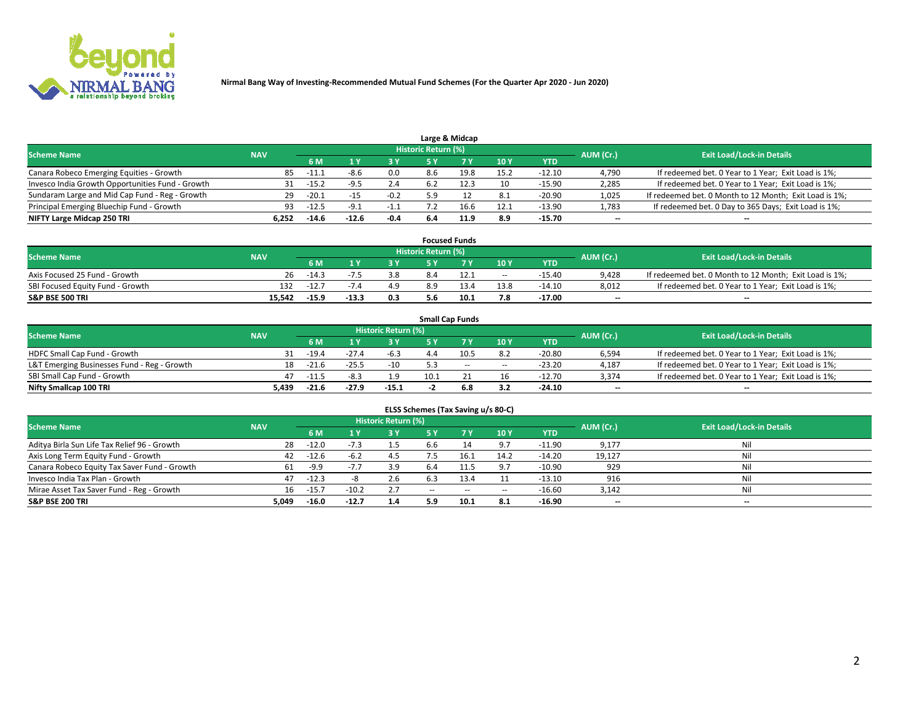

|                                                  |            |         |         |        |                     | Large & Midcap |      |            |           |                                                        |
|--------------------------------------------------|------------|---------|---------|--------|---------------------|----------------|------|------------|-----------|--------------------------------------------------------|
| <b>Scheme Name</b>                               | <b>NAV</b> |         |         |        | Historic Return (%) |                |      |            | AUM (Cr.) | <b>Exit Load/Lock-in Details</b>                       |
|                                                  |            | 6 M     |         | 3Y     |                     | 7 V            | 10Y  | <b>YTD</b> |           |                                                        |
| Canara Robeco Emerging Equities - Growth         | 85         | $-11.1$ | -8.6    | 0.0    | 8.6                 | 19.8           | 15.2 | $-12.10$   | 4,790     | If redeemed bet. 0 Year to 1 Year; Exit Load is 1%;    |
| Invesco India Growth Opportunities Fund - Growth | 31         | $-15.2$ | -9.5    | 2.4    |                     |                | 10   | $-15.90$   | 2,285     | If redeemed bet. 0 Year to 1 Year; Exit Load is 1%;    |
| Sundaram Large and Mid Cap Fund - Reg - Growth   | 29         | $-20.1$ | -15     | $-0.2$ | 59                  |                | 8.1  | -20.90     | 1,025     | If redeemed bet. 0 Month to 12 Month; Exit Load is 1%; |
| Principal Emerging Bluechip Fund - Growth        | 93         | $-12.5$ | - 9 1   | $-1.1$ |                     | 16.6           | 12.1 | $-13.90$   | 1,783     | If redeemed bet. 0 Day to 365 Days; Exit Load is 1%;   |
| NIFTY Large Midcap 250 TRI                       | 6.252      | $-14.6$ | $-12.6$ | $-0.4$ | 6.4                 | 11.9           | 8.9  | $-15.70$   | $- -$     | --                                                     |

|                                  |            |         |         |     |                     | <b>Focused Funds</b> |        |          |           |                                                        |
|----------------------------------|------------|---------|---------|-----|---------------------|----------------------|--------|----------|-----------|--------------------------------------------------------|
| <b>Scheme Name</b>               | <b>NAV</b> |         |         |     | Historic Return (%) |                      |        |          | AUM (Cr.) | <b>Exit Load/Lock-in Details</b>                       |
|                                  |            | 6 M     |         | 2 V |                     | ע ל                  | 10Y    | YTD      |           |                                                        |
| Axis Focused 25 Fund - Growth    | 26         | $-14.3$ |         | 3.8 | 8.4                 |                      | $\sim$ | $-15.40$ | 9.428     | If redeemed bet. 0 Month to 12 Month; Exit Load is 1%; |
| SBI Focused Equity Fund - Growth | 132        | $-12.7$ |         | 4.9 |                     |                      | 13.8   | $-14.10$ | 8,012     | If redeemed bet. 0 Year to 1 Year; Exit Load is 1%;    |
| <b>S&amp;P BSE 500 TRI</b>       | 15,542     | $-15.9$ | $-13.3$ | 0.3 | 5.6                 | 10.1                 | 7.8    | $-17.00$ | $- -$     | $\overline{\phantom{a}}$                               |

|                                             |            |           |                                  |         |      | <b>Small Cap Funds</b> |        |          |                          |                                                     |
|---------------------------------------------|------------|-----------|----------------------------------|---------|------|------------------------|--------|----------|--------------------------|-----------------------------------------------------|
| <b>Scheme Name</b>                          | <b>NAV</b> | AUM (Cr.) | <b>Exit Load/Lock-in Details</b> |         |      |                        |        |          |                          |                                                     |
|                                             |            | 6 M       |                                  | 3 Y     |      |                        | 10Y    | YTD      |                          |                                                     |
| HDFC Small Cap Fund - Growth                |            | $-19.4$   | $-27.4$                          | $-6.3$  | 44   |                        | 8.2    | $-20.80$ | 6,594                    | If redeemed bet. 0 Year to 1 Year; Exit Load is 1%; |
| L&T Emerging Businesses Fund - Reg - Growth | 18         | $-21.6$   | $-25.5$                          | $-10$   |      | $\sim$                 | $\sim$ | $-23.20$ | 4,187                    | If redeemed bet. 0 Year to 1 Year; Exit Load is 1%; |
| SBI Small Cap Fund - Growth                 | 47         | $-11.5$   | $-8.3$                           | 1.9     | 10.1 |                        | 16     | $-12.70$ | 3,374                    | If redeemed bet. 0 Year to 1 Year; Exit Load is 1%; |
| Nifty Smallcap 100 TRI                      | 5.439      | $-21.6$   | -27.9                            | $-15.1$ |      | 6.8                    | 3.2    | $-24.10$ | $\overline{\phantom{a}}$ | $\overline{\phantom{a}}$                            |

| ELSS Schemes (Tax Saving u/s 80-C)           |            |         |         |                            |               |      |        |            |           |                                  |  |  |  |
|----------------------------------------------|------------|---------|---------|----------------------------|---------------|------|--------|------------|-----------|----------------------------------|--|--|--|
| <b>Scheme Name</b>                           | <b>NAV</b> |         |         | <b>Historic Return (%)</b> |               |      |        |            | AUM (Cr.) | <b>Exit Load/Lock-in Details</b> |  |  |  |
|                                              |            | 6 M     |         | 3 Y                        |               |      | 10Y    | <b>YTD</b> |           |                                  |  |  |  |
| Aditya Birla Sun Life Tax Relief 96 - Growth | 28         | $-12.0$ |         | 1.5                        | h.h           |      | 9.7    | $-11.90$   | 9,177     | Ni                               |  |  |  |
| Axis Long Term Equity Fund - Growth          | 42         | $-12.6$ | $-6.2$  | 4.5                        |               | 16.1 | 14.2   | $-14.20$   | 19,127    | Ni                               |  |  |  |
| Canara Robeco Equity Tax Saver Fund - Growth |            | -9.9    | $-1.1$  | 3.9                        | -6.4          |      | 9.7    | $-10.90$   | 929       | Ni                               |  |  |  |
| Invesco India Tax Plan - Growth              | 47         | $-12.3$ |         | 2.6                        |               | 13.4 |        | $-13.10$   | 916       | Ni                               |  |  |  |
| Mirae Asset Tax Saver Fund - Reg - Growth    | 16         | $-15.7$ | $-10.2$ | 2.7                        | $\sim$ $\sim$ | --   | $\sim$ | $-16.60$   | 3,142     | Ni                               |  |  |  |
| <b>S&amp;P BSE 200 TRI</b>                   | 5.049      | $-16.0$ | $-12.7$ | 1.4                        | 5.9           | 10.1 | 8.1    | $-16.90$   | $- -$     | $- -$                            |  |  |  |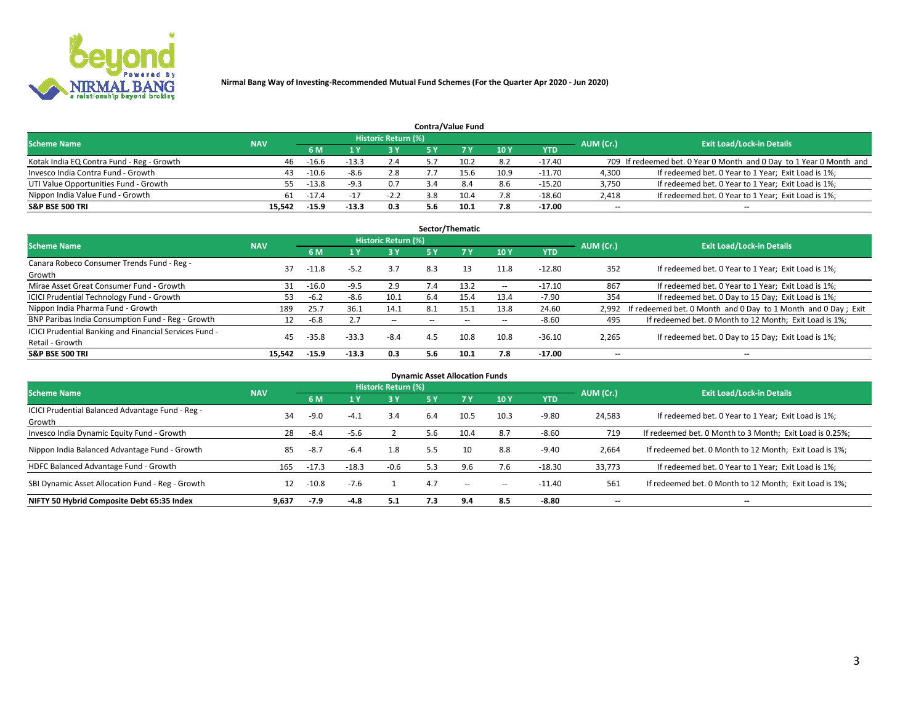

|                                           |            |         |         |                     |     | <b>Contra/Value Fund</b> |      |            |                          |                                                                     |
|-------------------------------------------|------------|---------|---------|---------------------|-----|--------------------------|------|------------|--------------------------|---------------------------------------------------------------------|
| <b>Scheme Name</b>                        | <b>NAV</b> |         |         | Historic Return (%) |     |                          |      |            | AUM (Cr.)                | <b>Exit Load/Lock-in Details</b>                                    |
|                                           |            | 6 M     |         | 3 Y                 | 5 Y |                          | 10Y  | <b>YTD</b> |                          |                                                                     |
| Kotak India EQ Contra Fund - Reg - Growth | 46         | $-16.6$ | $-13.3$ | 2.4                 |     | 10.2                     | 8.2  | -17.40     |                          | 709 If redeemed bet. 0 Year 0 Month and 0 Day to 1 Year 0 Month and |
| Invesco India Contra Fund - Growth        | 43         | -10.6   | -8.6    | 2.8                 |     | 15.6                     | 10.9 | $-11.70$   | 4,300                    | If redeemed bet. 0 Year to 1 Year; Exit Load is 1%;                 |
| UTI Value Opportunities Fund - Growth     |            | $-13.8$ | $-9.3$  | 0.7                 |     | 8.4                      | 8.6  | $-15.20$   | 3,750                    | If redeemed bet. 0 Year to 1 Year; Exit Load is 1%;                 |
| Nippon India Value Fund - Growth          | 61         | $-17.4$ | - 17    | $-2.2$              | 3.8 | 10.4                     | 7.8  | $-18.60$   | 2.418                    | If redeemed bet. 0 Year to 1 Year; Exit Load is 1%;                 |
| <b>S&amp;P BSE 500 TRI</b>                | 15.542     | -15.9   | $-13.3$ | 0.3                 | 5.6 | 10.1                     | 7.8  | $-17.00$   | $\overline{\phantom{a}}$ | $\overline{\phantom{a}}$                                            |

| Sector/Thematic                                                           |            |         |         |                            |     |      |        |          |                          |                                                               |  |  |  |
|---------------------------------------------------------------------------|------------|---------|---------|----------------------------|-----|------|--------|----------|--------------------------|---------------------------------------------------------------|--|--|--|
| <b>Scheme Name</b>                                                        | <b>NAV</b> |         |         | <b>Historic Return (%)</b> |     |      |        |          | AUM (Cr.)                | <b>Exit Load/Lock-in Details</b>                              |  |  |  |
|                                                                           |            | 6 M     |         | 3 Y                        | 5 Y |      | 10 Y   | YTD      |                          |                                                               |  |  |  |
| Canara Robeco Consumer Trends Fund - Reg -<br>Growth                      | 37         | $-11.8$ | $-5.2$  | 3.7                        | 8.3 | 13   | 11.8   | $-12.80$ | 352                      | If redeemed bet. 0 Year to 1 Year; Exit Load is 1%;           |  |  |  |
| Mirae Asset Great Consumer Fund - Growth                                  | 31         | $-16.0$ | $-9.5$  | 2.9                        | 7.4 | 13.2 | $\sim$ | $-17.10$ | 867                      | If redeemed bet. 0 Year to 1 Year; Exit Load is 1%;           |  |  |  |
| <b>ICICI Prudential Technology Fund - Growth</b>                          | 53         | $-6.2$  | -8.6    | 10.1                       | 6.4 | 15.4 | 13.4   | $-7.90$  | 354                      | If redeemed bet. 0 Day to 15 Day; Exit Load is 1%;            |  |  |  |
| Nippon India Pharma Fund - Growth                                         | 189        | 25.7    | 36.1    | 14.1                       | 8.1 | 15.1 | 13.8   | 24.60    | 2,992                    | If redeemed bet. 0 Month and 0 Day to 1 Month and 0 Day; Exit |  |  |  |
| BNP Paribas India Consumption Fund - Reg - Growth                         | 12         | $-6.8$  |         | $\sim$                     |     |      | $\sim$ | $-8.60$  | 495                      | If redeemed bet. 0 Month to 12 Month; Exit Load is 1%;        |  |  |  |
| ICICI Prudential Banking and Financial Services Fund -<br>Retail - Growth | 45         | $-35.8$ | $-33.3$ | $-8.4$                     | 4.5 | 10.8 | 10.8   | $-36.10$ | 2,265                    | If redeemed bet. 0 Day to 15 Day; Exit Load is 1%;            |  |  |  |
| <b>S&amp;P BSE 500 TRI</b>                                                | 15.542     | $-15.9$ | $-13.3$ | 0.3                        | 5.6 | 10.1 | 7.8    | $-17.00$ | $\overline{\phantom{a}}$ | $\overline{\phantom{a}}$                                      |  |  |  |

|                                                            |            |         |         |                     |     | <b>Dynamic Asset Allocation Funds</b> |        |          |           |                                                          |
|------------------------------------------------------------|------------|---------|---------|---------------------|-----|---------------------------------------|--------|----------|-----------|----------------------------------------------------------|
| <b>Scheme Name</b>                                         | <b>NAV</b> |         |         | Historic Return (%) |     |                                       |        |          | AUM (Cr.) | <b>Exit Load/Lock-in Details</b>                         |
|                                                            |            | 6 M     |         | 3 Y                 | 5 Y | 7 Y                                   | 10Y    | YTD      |           |                                                          |
| ICICI Prudential Balanced Advantage Fund - Reg -<br>Growth | 34         | $-9.0$  | -4.1    | 3.4                 | 6.4 | 10.5                                  | 10.3   | $-9.80$  | 24,583    | If redeemed bet. 0 Year to 1 Year; Exit Load is 1%;      |
| Invesco India Dynamic Equity Fund - Growth                 | 28         | $-8.4$  | $-5.6$  |                     | 5.6 | 10.4                                  | 8.7    | $-8.60$  | 719       | If redeemed bet. 0 Month to 3 Month; Exit Load is 0.25%; |
| Nippon India Balanced Advantage Fund - Growth              | 85         | $-8.7$  | $-6.4$  | 1.8                 | 5.5 | 10                                    | 8.8    | $-9.40$  | 2,664     | If redeemed bet. 0 Month to 12 Month; Exit Load is 1%;   |
| HDFC Balanced Advantage Fund - Growth                      | 165        | $-17.3$ | $-18.3$ | $-0.6$              | 5.3 | 9.6                                   | 7.6    | $-18.30$ | 33,773    | If redeemed bet. 0 Year to 1 Year; Exit Load is 1%;      |
| SBI Dynamic Asset Allocation Fund - Reg - Growth           | 12         | $-10.8$ | $-7.6$  |                     | 4.7 | $\sim$                                | $\sim$ | -11.40   | 561       | If redeemed bet. 0 Month to 12 Month; Exit Load is 1%;   |
| NIFTY 50 Hybrid Composite Debt 65:35 Index                 | 9,637      | $-7.9$  | $-4.8$  | 5.1                 | 7.3 | 9.4                                   | 8.5    | -8.80    | $- -$     | --                                                       |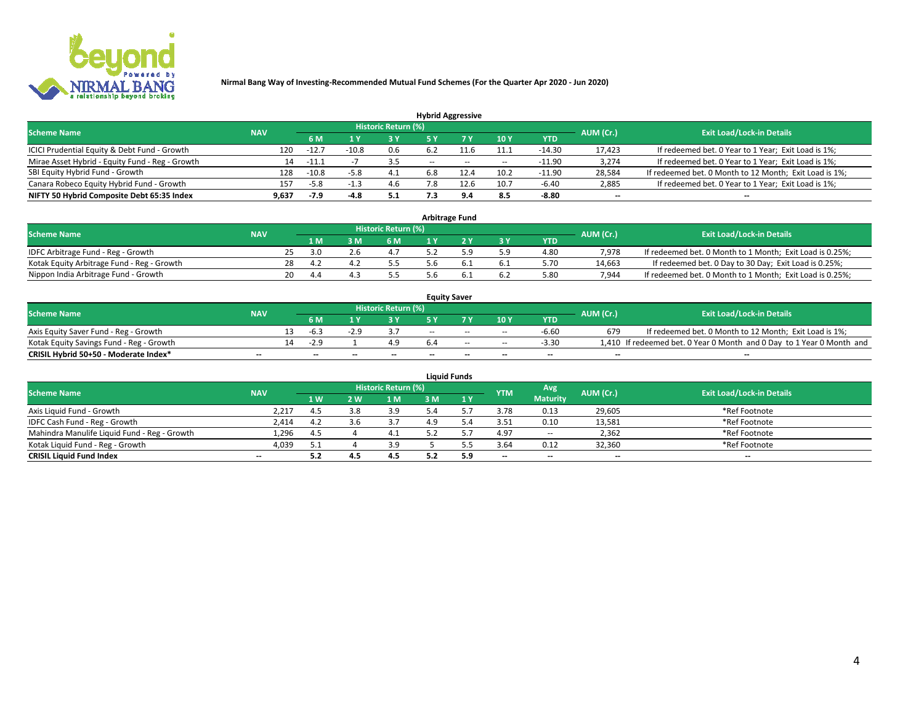

|                                                 |            |         |        |                            |        | <b>Hybrid Aggressive</b> |        |            |                          |                                                        |
|-------------------------------------------------|------------|---------|--------|----------------------------|--------|--------------------------|--------|------------|--------------------------|--------------------------------------------------------|
| <b>Scheme Name</b>                              | <b>NAV</b> |         |        | <b>Historic Return (%)</b> |        |                          |        |            | AUM (Cr.)                | <b>Exit Load/Lock-in Details</b>                       |
|                                                 |            | 6 M     |        | 3 Y                        |        |                          | 10Y    | <b>YTD</b> |                          |                                                        |
| ICICI Prudential Equity & Debt Fund - Growth    | 120        | $-12.7$ | -10.8  | 0.6                        |        |                          | 11.1   | $-14.30$   | 17.423                   | If redeemed bet. 0 Year to 1 Year; Exit Load is 1%;    |
| Mirae Asset Hybrid - Equity Fund - Reg - Growth | 14         | $-11.1$ |        |                            | $\sim$ | $-$                      | $\sim$ | $-11.90$   | 3.274                    | If redeemed bet. 0 Year to 1 Year; Exit Load is 1%;    |
| SBI Equity Hybrid Fund - Growth                 | 128        | $-10.8$ | $-5.8$ | 4.1                        | 6.8    |                          | 10.2   | $-11.90$   | 28,584                   | If redeemed bet. 0 Month to 12 Month; Exit Load is 1%; |
| Canara Robeco Equity Hybrid Fund - Growth       | 157        | -5.8    |        | 4.6                        | '.8    |                          | 10.7   | -6.40      | 2,885                    | If redeemed bet. 0 Year to 1 Year; Exit Load is 1%;    |
| NIFTY 50 Hybrid Composite Debt 65:35 Index      | 9.637      | $-7.9$  | -4.8   | 5.1                        |        | <b>Q</b> 4               | 8.5    | $-8.80$    | $\overline{\phantom{a}}$ | $\overline{\phantom{a}}$                               |

|                                            |            |    |       |                            |     | <b>Arbitrage Fund</b> |           |            |           |                                                          |
|--------------------------------------------|------------|----|-------|----------------------------|-----|-----------------------|-----------|------------|-----------|----------------------------------------------------------|
| <b>Scheme Name</b>                         | <b>NAV</b> |    |       | <b>Historic Return (%)</b> |     |                       |           |            | AUM (Cr.) | <b>Exit Load/Lock-in Details</b>                         |
|                                            |            |    | 1 M   | 6 M                        |     |                       | <b>3Y</b> | <b>YTD</b> |           |                                                          |
| IDFC Arbitrage Fund - Reg - Growth         |            | 25 | ี 3 ก | 4.7                        |     | . a                   | 5.9       | 4.80       | 7.978     | If redeemed bet. 0 Month to 1 Month; Exit Load is 0.25%; |
| Kotak Equity Arbitrage Fund - Reg - Growth |            | 28 | -4.2  | 5.5                        | . h |                       | 6.1       | 5.70       | 14,663    | If redeemed bet. 0 Day to 30 Day; Exit Load is 0.25%;    |
| Nippon India Arbitrage Fund - Growth       |            | 20 | 4.4   |                            | 'n  |                       | 6.2       | 5.80       | 7.944     | If redeemed bet. 0 Month to 1 Month; Exit Load is 0.25%; |

|                                          |                          |                          |    |                          |     | <b>Equity Saver</b> |       |                          |                          |                                                                       |
|------------------------------------------|--------------------------|--------------------------|----|--------------------------|-----|---------------------|-------|--------------------------|--------------------------|-----------------------------------------------------------------------|
| <b>Scheme Name</b>                       | <b>NAV</b>               |                          |    | Historic Return (%)      |     |                     |       |                          | AUM (Cr.)                | <b>Exit Load/Lock-in Details</b>                                      |
|                                          |                          | 6 M                      |    |                          |     |                     | 10Y   | <b>YTD</b>               |                          |                                                                       |
| Axis Equity Saver Fund - Reg - Growth    |                          | -6.3                     |    |                          | $-$ | $-$                 | $-$   | $-6.60$                  | 679                      | If redeemed bet. 0 Month to 12 Month; Exit Load is 1%;                |
| Kotak Equity Savings Fund - Reg - Growth |                          | $-2.9$                   |    | 4.9                      |     | $-$                 | $- -$ | $-3.30$                  |                          | 1,410 If redeemed bet. 0 Year 0 Month and 0 Day to 1 Year 0 Month and |
| CRISIL Hybrid 50+50 - Moderate Index*    | $\overline{\phantom{a}}$ | $\overline{\phantom{a}}$ | -- | $\overline{\phantom{a}}$ | $-$ | --                  | $-$   | $\overline{\phantom{a}}$ | $\overline{\phantom{a}}$ | $\overline{\phantom{a}}$                                              |

|                                              |                          |     |     |                     |     | <b>Liquid Funds</b> |                          |                          |           |                                  |
|----------------------------------------------|--------------------------|-----|-----|---------------------|-----|---------------------|--------------------------|--------------------------|-----------|----------------------------------|
| <b>Scheme Name</b>                           | <b>NAV</b>               |     |     | Historic Return (%) |     |                     | <b>YTM</b>               | Avg                      | AUM (Cr.) | <b>Exit Load/Lock-in Details</b> |
|                                              |                          | 1W  | 2W  | 1 <sub>N</sub>      |     | 1 Y                 |                          | <b>Maturity</b>          |           |                                  |
| Axis Liquid Fund - Growth                    | 2,217                    | 4.5 | 3.8 | 3.9                 |     |                     | 3.78                     | 0.13                     | 29,605    | *Ref Footnote                    |
| IDFC Cash Fund - Reg - Growth                | 2,414                    | 4.2 |     | 3.7                 | 4.9 |                     | 3.51                     | 0.10                     | 13,581    | *Ref Footnote                    |
| Mahindra Manulife Liquid Fund - Reg - Growth | 1,296                    | 4.5 |     |                     |     |                     | 4.97                     | $- -$                    | 2,362     | *Ref Footnote                    |
| Kotak Liguid Fund - Reg - Growth             | 4,039                    | 5.1 |     | 3.9                 |     |                     | 3.64                     | 0.12                     | 32,360    | *Ref Footnote                    |
| <b>CRISIL Liquid Fund Index</b>              | $\overline{\phantom{a}}$ | 5.2 |     | 4.5                 |     | 5.9                 | $\overline{\phantom{a}}$ | $\overline{\phantom{a}}$ | $-$       | $- -$                            |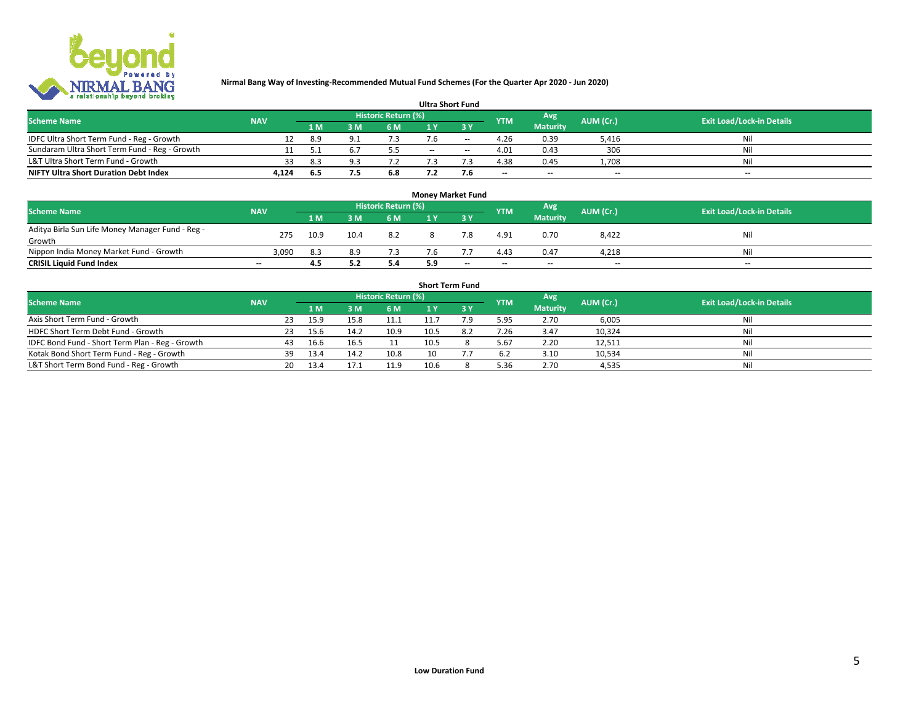

|                                               |            |     |     |                            |     | <b>Ultra Short Fund</b> |                          |                 |           |                                  |
|-----------------------------------------------|------------|-----|-----|----------------------------|-----|-------------------------|--------------------------|-----------------|-----------|----------------------------------|
| <b>Scheme Name</b>                            | <b>NAV</b> |     |     | <b>Historic Return (%)</b> |     |                         | <b>YTM</b>               | Avg             | AUM (Cr.) | <b>Exit Load/Lock-in Details</b> |
|                                               |            | 1 M | 3 M | 6 M                        |     | ט כ                     |                          | <b>Maturity</b> |           |                                  |
| IDFC Ultra Short Term Fund - Reg - Growth     |            | 8.9 |     | 7.3                        |     | $-$                     | 4.26                     | 0.39            | 5,416     | Nil                              |
| Sundaram Ultra Short Term Fund - Reg - Growth |            |     |     | 5.5                        | $-$ | $-$                     | 4.01                     | 0.43            | 306       | Nil                              |
| L&T Ultra Short Term Fund - Growth            |            | 8.3 |     |                            |     |                         | 4.38                     | 0.45            | 1,708     | Nil                              |
| <b>NIFTY Ultra Short Duration Debt Index</b>  | 4,124      | 6.5 |     | 6.8                        |     | 7.6                     | $\overline{\phantom{a}}$ | $-$             | $- -$     | $\overline{\phantom{a}}$         |

| <b>Money Market Fund</b>                         |            |      |      |                     |     |                          |            |                 |                          |                                  |  |  |
|--------------------------------------------------|------------|------|------|---------------------|-----|--------------------------|------------|-----------------|--------------------------|----------------------------------|--|--|
| <b>Scheme Name</b>                               | <b>NAV</b> |      |      | Historic Return (%) |     |                          | <b>YTM</b> | Avg             | AUM (Cr.)                | <b>Exit Load/Lock-in Details</b> |  |  |
|                                                  |            | 1 M  | : M  | 6 M                 |     | 2 V                      |            | <b>Maturity</b> |                          |                                  |  |  |
| Aditya Birla Sun Life Money Manager Fund - Reg - | 275        | 10.9 | 10.4 | 8.2                 |     |                          | 4.91       | 0.70            | 8,422                    | Nil                              |  |  |
| Growth                                           |            |      |      |                     |     |                          |            |                 |                          |                                  |  |  |
| Nippon India Money Market Fund - Growth          | 3,090      | 8.3  | 8.9  | 7.3                 | '.b |                          | 4.43       | 0.47            | 4,218                    | Nil                              |  |  |
| <b>CRISIL Liquid Fund Index</b>                  | $- -$      | 4.5  | J.Z  | 5.4                 | 5.9 | $\overline{\phantom{a}}$ | $-$        | $-$             | $\overline{\phantom{a}}$ | $\overline{\phantom{a}}$         |  |  |

| <b>Short Term Fund</b>                          |            |     |      |      |                     |      |     |            |                 |           |                                  |  |
|-------------------------------------------------|------------|-----|------|------|---------------------|------|-----|------------|-----------------|-----------|----------------------------------|--|
| <b>Scheme Name</b>                              | <b>NAV</b> |     |      |      | Historic Return (%) |      |     | <b>YTM</b> | Avg             | AUM (Cr.) | <b>Exit Load/Lock-in Details</b> |  |
|                                                 |            |     | 1 M  | 3 M  | 6 M                 |      | 3 Y |            | <b>Maturity</b> |           |                                  |  |
| Axis Short Term Fund - Growth                   |            | 23  | 15.9 | 15.8 | 11.1                | 11.7 | 7.9 | 5.95       | 2.70            | 6,005     | Nil                              |  |
| HDFC Short Term Debt Fund - Growth              |            | 23  | 15.6 | 14.2 | 10.9                | 10.5 |     | 7.26       | 3.47            | 10,324    | Nil                              |  |
| IDFC Bond Fund - Short Term Plan - Reg - Growth |            | 43. | 16.6 | 16.5 |                     | 10.5 |     | 5.67       | 2.20            | 12,511    | Nil                              |  |
| Kotak Bond Short Term Fund - Reg - Growth       |            | 39  | 13.4 | 14.2 | 10.8                | 10   |     | 6.2        | 3.10            | 10,534    | Nil                              |  |
| L&T Short Term Bond Fund - Reg - Growth         |            | 20  | 13.4 | 17.1 | 11.9                | 10.6 |     | 5.36       | 2.70            | 4,535     | Nil                              |  |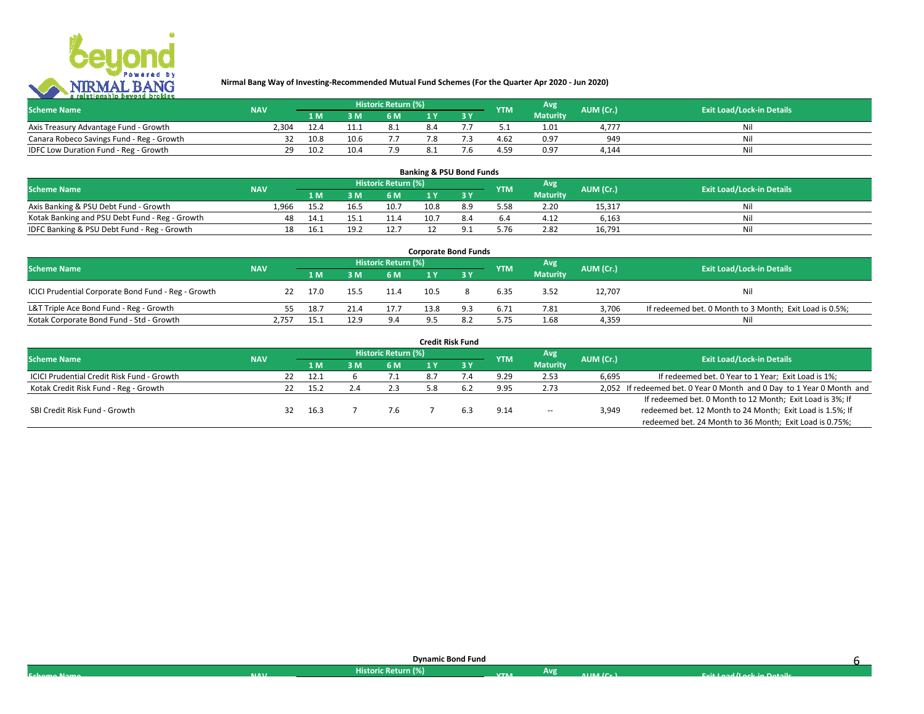

| <b>Scheme Name</b>                        | <b>NAV</b> |      |      | Historic Return (%) <sup> </sup> |  | <b>YTM</b> | Avg             | AUM (Cr.)  | <b>Exit Load/Lock-in Details</b> |
|-------------------------------------------|------------|------|------|----------------------------------|--|------------|-----------------|------------|----------------------------------|
|                                           |            | 1 M  |      | 6 M                              |  |            | <b>Maturity</b> |            |                                  |
| Axis Treasury Advantage Fund - Growth     | 2.304      | 12.4 |      |                                  |  |            | 1.01            | $4.77^{-}$ |                                  |
| Canara Robeco Savings Fund - Reg - Growth |            | 10.8 | 10.6 |                                  |  | 4.62       | 0.97            | 949        | Nil                              |
| IDFC Low Duration Fund - Reg - Growth     | າດ         | 10.2 | 10.4 |                                  |  | 4.59       | 0.97            | 4.144      | Nil                              |

| <b>Banking &amp; PSU Bond Funds</b>            |            |      |      |                     |      |  |            |                 |           |                                  |  |  |
|------------------------------------------------|------------|------|------|---------------------|------|--|------------|-----------------|-----------|----------------------------------|--|--|
| <b>Scheme Name</b>                             | <b>NAV</b> |      |      | Historic Return (%) |      |  | <b>YTM</b> | Avg             | AUM (Cr.) | <b>Exit Load/Lock-in Details</b> |  |  |
|                                                |            | 1 M  | ៵៳   | 6 M                 |      |  |            | <b>Maturity</b> |           |                                  |  |  |
| Axis Banking & PSU Debt Fund - Growth          | 1.966      | 15.2 | 16.5 | 10.7                | 10.8 |  | 5.58       | 2.20            | 15,317    | Nil                              |  |  |
| Kotak Banking and PSU Debt Fund - Reg - Growth | 48         | 14.1 | 15.1 |                     | 10.7 |  | 6.4        | 4.12            | 6.163     | Nil                              |  |  |
| IDFC Banking & PSU Debt Fund - Reg - Growth    | 18         | 16.1 | 19.2 | 12.7                |      |  | 5.76       | 2.82            | 16.791    | Nil                              |  |  |

| <b>Corporate Bond Funds</b>                         |            |      |      |                            |      |  |            |                 |           |                                                         |  |  |
|-----------------------------------------------------|------------|------|------|----------------------------|------|--|------------|-----------------|-----------|---------------------------------------------------------|--|--|
| <b>Scheme Name</b>                                  | <b>NAV</b> |      |      | <b>Historic Return (%)</b> |      |  | <b>YTM</b> | Avg             | AUM (Cr.) | <b>Exit Load/Lock-in Details</b>                        |  |  |
|                                                     |            | 1 M  | 3 M  | 6 M                        |      |  |            | <b>Maturity</b> |           |                                                         |  |  |
| ICICI Prudential Corporate Bond Fund - Reg - Growth | 22         | 17.0 | 15.5 | 11.4                       | 10.5 |  | 6.35       | 3.52            | 12,707    | Nil                                                     |  |  |
| L&T Triple Ace Bond Fund - Reg - Growth             |            | 18.7 |      | 17.7                       | 13.8 |  | 6.71       | 7.81            | 3.706     | If redeemed bet. 0 Month to 3 Month; Exit Load is 0.5%; |  |  |
| Kotak Corporate Bond Fund - Std - Growth            | 2.757      | 15.1 | 12.9 | 9.4                        | QE   |  | 5.75       | 1.68            | 4.359     | Nil                                                     |  |  |

|                                            |            |    |      |                     |     | <b>Credit Risk Fund</b> |            |                 |           |                                                                       |
|--------------------------------------------|------------|----|------|---------------------|-----|-------------------------|------------|-----------------|-----------|-----------------------------------------------------------------------|
| <b>Scheme Name</b>                         | <b>NAV</b> |    |      | Historic Return (%) |     |                         | <b>YTM</b> | <b>Avg</b>      | AUM (Cr.) | <b>Exit Load/Lock-in Details</b>                                      |
|                                            |            |    | 1 M  | 6 M                 |     | 3 Y                     |            | <b>Maturity</b> |           |                                                                       |
| ICICI Prudential Credit Risk Fund - Growth |            | 22 | 12.1 | 7.1                 | 8.  |                         | 9.29       | 2.53            | 6,695     | If redeemed bet. 0 Year to 1 Year; Exit Load is 1%;                   |
| Kotak Credit Risk Fund - Reg - Growth      |            |    | 15.2 | 2.3                 | 5.8 | 6.2                     | 9.95       | 2.73            |           | 2,052 If redeemed bet. 0 Year 0 Month and 0 Day to 1 Year 0 Month and |
|                                            |            |    |      |                     |     |                         |            |                 |           | If redeemed bet. 0 Month to 12 Month; Exit Load is 3%; If             |
| SBI Credit Risk Fund - Growth              |            | 32 | 16.3 | 7.6                 |     | 63                      | 9.14       | $\sim$          | 3,949     | redeemed bet. 12 Month to 24 Month; Exit Load is 1.5%; If             |
|                                            |            |    |      |                     |     |                         |            |                 |           | redeemed bet. 24 Month to 36 Month; Exit Load is 0.75%;               |

|             |            | <b>Dynamic Bond Fund</b> |            |     |          |                            |  |
|-------------|------------|--------------------------|------------|-----|----------|----------------------------|--|
| Cohomo Namo | <b>MAV</b> | Historic Return (%) '    | <b>VTM</b> | Avg | ALIM IC. | Evit Load /Lock in Dotails |  |